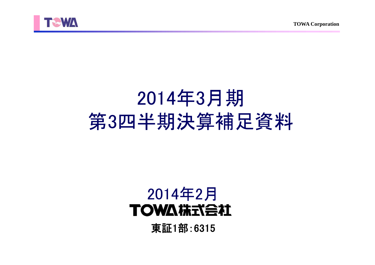



# 2014年3月期 第3四半期決算補足資料

## 2014年2月**TOWA #RTABLE**

東証1部:6315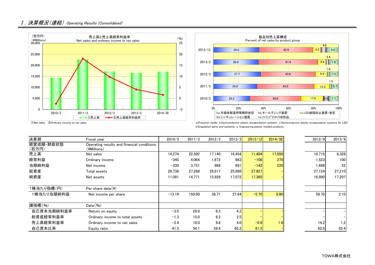



 ①Net sales ②Ordinary income to net sales a.Precision molds b.Semiconductor plastic encapsulation systems c.Semiconductor plastic encapsulation systems for LED d.Singulation parts and systems e. Engineering plastic molded products

| 決算期                | Fiscal year                                               | 2010/3   | 2011/3 | 2012/3 | 2013/3 | 2013/12 | 2014/3E | 2012/9 | 2013/9 |
|--------------------|-----------------------------------------------------------|----------|--------|--------|--------|---------|---------|--------|--------|
| 経営成績 財政状態<br>(百万円) | Operating results and financial conditions<br>(¥Millions) |          |        |        |        |         |         |        |        |
| 売上高                | Net sales                                                 | 14.274   | 22,592 | 17.140 | 16,454 | 11.404  | 17,000  | 10,715 | 8,328  |
| 経常利益               | Ordinary income                                           | $-345$   | 4.064  | 1.672  | 663    | $-106$  | 270     | 1,523  | 100    |
| 当期純利益              | Net income                                                | $-330$   | 3,751  | 968    | 691    | $-142$  | 220     | 1,468  | 52     |
| 総資産                | Total assets                                              | 26.738   | 27,288 | 26.817 | 25,896 | 27,827  |         | 27,124 | 27,210 |
| 純資産                | Net assets                                                | 11.091   | 14,771 | 15,926 | 17,072 | 17.365  |         | 16,990 | 17,207 |
| 1株当たり指標(円)         | Per share data $(\frac{y}{x})$                            |          |        |        |        |         |         |        |        |
| 1株当たり当期純利益         | Net income per share                                      | $-13.19$ | 150.00 | 38.71  | 27.64  | $-5.70$ | 8.80    | 58.70  | 2.10   |
| 諸指標(%)             | Data(% )                                                  |          |        |        |        |         |         |        |        |
| 自己資本当期純利益率         | Return on equity                                          | $-3.0$   | 29.0   | 6.3    | 4.2    |         |         |        |        |
| 総資産経常利益率           | Ordinary income to total assets                           | $-1.3$   | 15.0   | 6.2    | 2.5    |         |         |        |        |
| 売上高経常利益率           | Ordinary income to net sales                              | $-2.4$   | 18.0   | 9.8    | 4.0    | $-0.9$  | 1.6     | 14.2   | 1.2    |
| 自己資本比率             | Equity ratio                                              | 41.5     | 54.1   | 59.4   | 65.2   | 61.5    |         | 62.0   | 62.4   |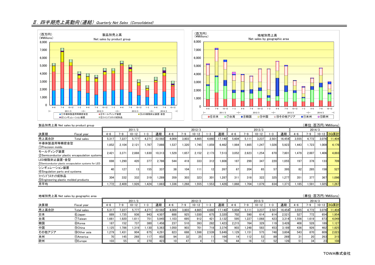## Ⅱ.四半期売上高動向(連結) Quarterly Net Sales (Consolidated)





|                                                         | 製品別売上高 Net sales by product group                      |         |                            |           |       |        |                 |         |           |                 |             |         |       |           |       |        |         | (単位:百万円/¥Millions) |           |             |
|---------------------------------------------------------|--------------------------------------------------------|---------|----------------------------|-----------|-------|--------|-----------------|---------|-----------|-----------------|-------------|---------|-------|-----------|-------|--------|---------|--------------------|-----------|-------------|
|                                                         |                                                        |         | 2012/3<br>2011/3<br>2013/3 |           |       |        |                 |         |           | 2014/3          |             |         |       |           |       |        |         |                    |           |             |
| 決算期                                                     | Fiscal year                                            | $4 - 6$ | $7 - 9$                    | $10 - 12$ | -3    | 通期     | $4 - 6$         | $7 - 9$ | $10 - 12$ | 1−3             | 通期          | $4 - 6$ | 7-9   | $10 - 12$ | '−3   | 通期     | $4 - 6$ | 7-9                | $10 - 12$ | <b>3Q累計</b> |
| 売上高合計                                                   | Total sales                                            | 5.317   | 7.227                      | 5.777     | 4.271 | 22.592 | 4.009           | 3.803   | 4.665     | 4.660           | 17.140      | 5.604   | 5.111 | 3.237     | 2.501 | 16.454 | 3.555   | 4.772              | 3.076     | 11.404      |
| 半導体製造用等精密金型<br>(1) Precision molds                      |                                                        | 1.852   | 2.104                      | 2.121     | .787  | 7,866  | 1.537           | 1.320   | 1.745     | 1.859           | 6.462       | 1.984   | 1.665 | .247      | 1.026 | 5.923  | 1.443   | 1.723              | 1.009     | 4.176       |
| モールディング装置                                               | (2) Semiconductor plastic encapsulation systems        | 2.421   | 3.371                      | 2,888     | .630  | 10.313 | 1.529           | 1,657   | 2.152     | 2.173           | 7.513       | 3.052   | 2,623 | 1.254     | 870   | 7.801  | 1.479   | 2.007              | 1.406     | 4.893       |
| LED樹脂封止装置·金型                                            | 3) Semiconductor plastic encapsulation systems for LED | 698     | .290                       | 420       | 377   | 2.786  | 544             | 418     | 333       | 312             | 1.608       | 187     | 299   | 347       | 220   | 1.055  | 197     | 378                | 133       | 709         |
| シンギュレーション装置<br>4 Singulation parts and systems          |                                                        | 40      | 127                        | 13        | 155   | 337    | 38 <sup>1</sup> | 104     | 111       | 12 <sup>1</sup> | <b>2671</b> | 67      | 204   | 65        | 57    | 395    | 82      | 285                | 158       | 527         |
| ファインプラスチック成形品<br>5) Engineering plastic molded products |                                                        | 304     | 332                        | 332       | 319   | 1.289  | 359             | 303     | 323       | 301             | 1,287       | 311     | 318   | 322       | 325   | 1.277  | 351     | 377                | 367       | 1.096       |
| 月平均                                                     |                                                        | .772    | 2.409                      | 1.926     | .424  | 1.883  | 1.336           | 1.268   | 1.555     | .553            | 1.428       | .868    | .704  | 1.079     | 834   | 1.371  | 1.185   | 1.591              | 1.025     | 1,267       |

|        | 地域別売上高 Net sales by geographic area |                  |         |           |       |        |                 |                 |                 |         |        |         |       |           |       |        |         |       | (単位:百万円/¥Millions) |            |
|--------|-------------------------------------|------------------|---------|-----------|-------|--------|-----------------|-----------------|-----------------|---------|--------|---------|-------|-----------|-------|--------|---------|-------|--------------------|------------|
| 2011/3 |                                     |                  |         |           |       | 2012/3 |                 |                 |                 |         | 2013/3 |         |       |           |       | 2014/3 |         |       |                    |            |
| 決算期    | Fiscal year                         | $4 - 6$          | 7–9     | $10 - 12$ | $-3$  | 通期     | $4 - 6$         | ≀–9             | $10 - 12$       | $1 - 3$ | 通期     | $4 - 6$ | 7–9   | $10 - 12$ |       | 通期     | $4 - 6$ | 7-9   |                    | 10-12 3Q累計 |
| 売上高合計  | Total sales                         | 5.317            | 227     | 5.777     | 4.27  | 22.592 | 4.009           | 3.803           | 4.665           | 4.660   | 17.140 | 5.604   | 5.111 | 3.237     | 2.501 | 16.454 | 3.555   | 4.772 | 3.076              | 11,404     |
| 日本     | 6Japan                              | 889              | .735    | 936       | 943   | 4.507  | 688             | 925             | 1.030           | 675     | 3.320  | 702     | 590   | 614       | 614   | 2.521  | 527     | 772   | 654                | 1,954      |
| 台湾     | 7) Taiwan                           | .661             | .920    | 1.611     | 751   | 5.945  | 1.103           | 695             | 912             | 421     | 3.132  | 595     | 1.227 | .068      | 423   | 3.314  | 1.556   | 1.619 | 873                | 4,049      |
| 韓国     | 8) Korea                            | 187              | 152     | 737       | 380   | 1.458  | 237             | 510             | 393             | 282     | 1.423  | 2.215   | 764   | 329       | 119   | 3.428  | 408     | 528   | 189                | 1.127      |
| 中国     | <b>9</b> China                      | .125             | .786    | 1.319     | 1.130 | 5.363  | .050            | 903             | 701             | 718     | 3.374  | 903     | 1.248 | 583       | 453   | 3.189  | 436     | 926   | 462                | 1.825      |
| その他アジア | 10 Other asia                       | .279             | ا 431.، | 904       | 675   | 4.291  | 823             | 688             | 1.598           | 2.539   | 5.649  | .129    | 1.151 | 575       | 748   | 3.604  | 543     | 870   | 609                | 2,023      |
| 米州     | 11)America                          | 70               | 145     | 268       | 117   | 602    | 94              | 32 <sub>1</sub> | 25 <sub>1</sub> |         | 164    | 14      | 112   | 53        | 89    | 269    |         | 20    | 263                | 315        |
| 欧州     | 12)Europe                           | 103 <sub>1</sub> | 55      |           | 270   | 423    | 10 <sup>1</sup> | 47              |                 |         |        | 44      |       | 12        | 片り    | 126    |         | 34    | 23                 | 108        |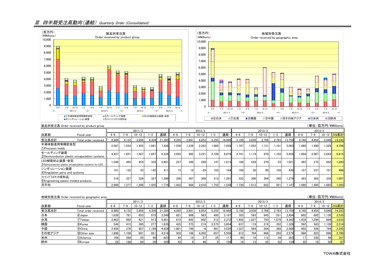## Ⅲ.四半期受注高動向(連結) Quarterly Order (Consolidated)





|                                                         | 製品別受注高 Order received by product group                 |         |        |           |       |        |         |         |           |       |        |         |        |           |       |        |         |       |           | (単位:百万円/¥Millions) |  |  |  |
|---------------------------------------------------------|--------------------------------------------------------|---------|--------|-----------|-------|--------|---------|---------|-----------|-------|--------|---------|--------|-----------|-------|--------|---------|-------|-----------|--------------------|--|--|--|
|                                                         |                                                        |         | 2011/3 |           |       |        |         | 2012/3  |           |       |        |         | 2013/3 |           |       |        |         |       | 2014/3    |                    |  |  |  |
| 決算期                                                     | Fiscal year                                            | $4 - 6$ | '-9    | $10 - 12$ | -3    | 通期     | $4 - 6$ | $7 - 9$ | $10 - 12$ |       | 通期     | $4 - 6$ | '-9    | $10 - 12$ | $-3$  | 通期     | $4 - 6$ | '-9   | $10 - 12$ | 3Q累計               |  |  |  |
| 受注高合計                                                   | Total order received                                   | 8.989   | 4.132  | 3.858     | 4.304 | 21.285 | 4.265   | 2,891   | 6.053     | 5.255 | 18.466 | 5.190   | 3.039  | 2.766     | 2,763 | 13.759 | 4.740   | 4.454 | 5.048     | 14.243             |  |  |  |
| 半導体製造用等精密金型<br>1)Precision molds                        |                                                        | 2.587   | 1.554  | 1,455     | 1.84  | 7.438  | 1.558   | .236    | 2.263     | 969   | 7.028  | .797    | 1.052  | 1.131     | 1.101 | 5.083  | 1.980   | 1.490 | .326      | 4.796              |  |  |  |
| モールディング装置                                               | (2) Semiconductor plastic encapsulation systems        | 4.437   | 1.651  | 1.587     | 1.657 | 9.334  | 2.055   | 982     | 3.221     | 2.720 | 8.978  | 2.741   | 1.119  | 970       | 1.103 | 5.934  | 1.904   | 2.067 | 2.643     | 6.615              |  |  |  |
| LED樹脂封止装置·金型                                            | 3) Semiconductor plastic encapsulation systems for LED | 1.546   | 465    | 454       | 335   | 2.801  | 227     | 348     | 289       | 147   | 1.013  | 168     | 529    | 270       | 53    | 1.021  | 365     | 275   | 642       | 1.283              |  |  |  |
| シンギュレーション装置<br>4) Singulation parts and systems         |                                                        | 101     | 132    | 35        | 142   | 411    | 73      | 16      | $-29$     | 103   | 164    | 160     | 30     | 90        | 158   | 439    | 107     | 257   | 101       | 466                |  |  |  |
| ファインプラスチック成形品<br>5) Engineering plastic molded products |                                                        | 316     | 327    | 326       | 327   | 1.298  | 350     | 307     | 309       | 313   | 1,281  | 322     | 306    | 304       | 346   | 1.279  | 383     | 362   | 335       | 1.081              |  |  |  |
| 月平均                                                     |                                                        | 2.996   | 1.377  | 1.286     | 1.435 | 1.774  | 1.422   | 964     | 2.018     | .752  | 1.539  | .730    | 1.013  | 922       | 921   | 1.147  | 1.580   | 1.485 | .683      | 1,583              |  |  |  |

|        | 地域別受注高 Order received by geographic area |        |       |           |         |        |         |                 |           |       |        |                 |       |           |       |                  |                 | (単位:百万円/¥Millions) |                   |            |
|--------|------------------------------------------|--------|-------|-----------|---------|--------|---------|-----------------|-----------|-------|--------|-----------------|-------|-----------|-------|------------------|-----------------|--------------------|-------------------|------------|
|        |                                          | 2011/3 |       |           |         |        | 2012/3  |                 |           |       |        | 2013/3          |       |           |       |                  | 2014/3          |                    |                   |            |
| 決算期    | Fiscal year                              | l-6    | 7-g   | $10 - 12$ | $1 - 3$ | 通期     | $4 - 6$ | 7–9             | $10 - 12$ | 1–3   | 通期     | $4 - 6$         | 1-9   | $10 - 12$ | 1-3   | 通期               | $4 - 6$         | 7–9                |                   | 10-12 3Q累計 |
| 受注高合計  | Total order received                     | 8.989  | 4.132 | 3.858     | 4.304   | 21.285 | 4.265   | 2.891           | 6.053     | 5,255 | 18.466 | 5.190           | 3.039 | 2.766     | 2.763 | 13.759           | 4.740           | 4.454              | 5.048             | 14.243     |
| 日本     | 6 Japan                                  | 1.038  | 781   | 853       | 875     | 3.548  | 821     | 906             | 963       | 495   | 3.187  | 703             | 593   | 645       | 551   | 2.494            | 602             | 802                | .130 <sup>1</sup> | 2.535      |
| 台湾     | 7)Taiwan                                 | 2,863  | 992   | 921       | 913     | 5.691  | 615     | 642             | 602       | 512   | 2.372  | .492            | 1.027 | 793       | 1.079 | 4.392            | .639            | 1.299              | 894               | 3.833      |
| 韓国     | 8) Korea                                 | 546    | 415   | 395       | 277     | .635   | 435     | 375             | 219       | 2.573 | 3.604  | 637             | 119   | 219       | 352   | .328             | 592             | 583                | .139              | 2.314      |
| 中国     | <b>9</b> China                           | 2.456  | 376   | 907       | 1.198   | 4.938  | 1.801   | 746 I           | $-8$      | 981   | 3.520  | .327            | 564   | 284       | 389   | 2.566            | 902             | 598                | 794I              | 2.295      |
| その他アジア | 100ther asia                             | 1.886  | 1.108 | 601       | 921     | 4.518  | 503     | 196             | 4.202     | 657   | 5.559  | 912             | 704   | 668       | 293   | 2.579            | 966             | 823                | 990               | 2.780      |
| 米州     | (11)America                              | 168    | 268   | 95        | 90      | 623    | 44      | 19 <sup>1</sup> | 27        | 25    |        |                 |       | 1121      | 34    | 263              |                 | 330 <sup>1</sup>   | 49                | 397        |
| 欧州     | 12Europe                                 | 29     | 188   | 84        | 26      | 329    | 43      |                 | 46        |       | 104    | 16 <sub>1</sub> |       | 42        | 62    | 134 <sub>1</sub> | 20 <sub>1</sub> | 16                 | 50I               | 87         |